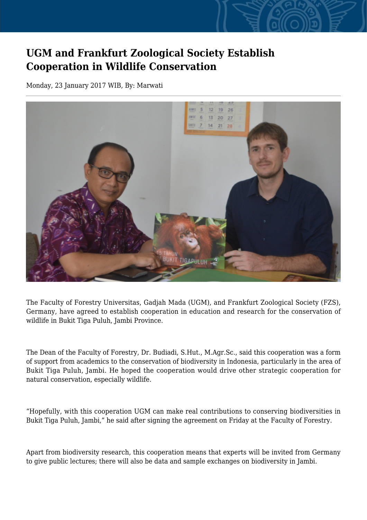## **UGM and Frankfurt Zoological Society Establish Cooperation in Wildlife Conservation**

Monday, 23 January 2017 WIB, By: Marwati



The Faculty of Forestry Universitas, Gadjah Mada (UGM), and Frankfurt Zoological Society (FZS), Germany, have agreed to establish cooperation in education and research for the conservation of wildlife in Bukit Tiga Puluh, Jambi Province.

The Dean of the Faculty of Forestry, Dr. Budiadi, S.Hut., M.Agr.Sc., said this cooperation was a form of support from academics to the conservation of biodiversity in Indonesia, particularly in the area of Bukit Tiga Puluh, Jambi. He hoped the cooperation would drive other strategic cooperation for natural conservation, especially wildlife.

"Hopefully, with this cooperation UGM can make real contributions to conserving biodiversities in Bukit Tiga Puluh, Jambi," he said after signing the agreement on Friday at the Faculty of Forestry.

Apart from biodiversity research, this cooperation means that experts will be invited from Germany to give public lectures; there will also be data and sample exchanges on biodiversity in Jambi.